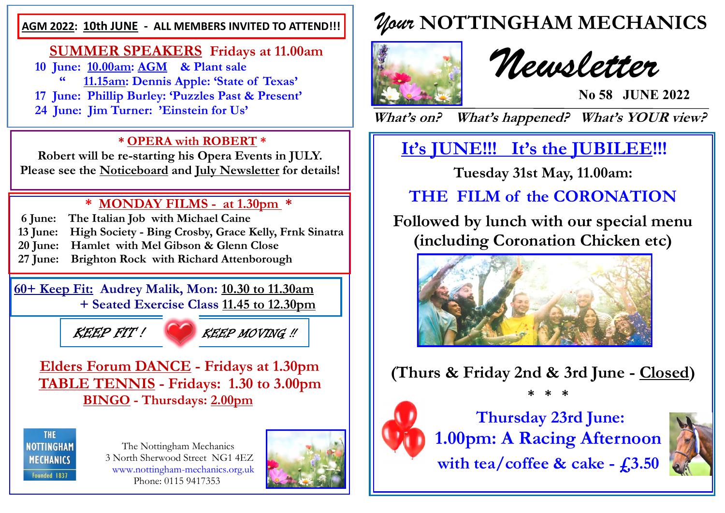### **AGM 2022: 10th JUNE - ALL MEMBERS INVITED TO ATTEND!!!**

## **SUMMER SPEAKERS Fridays at 11.00am**

**10 June: 10.00am: AGM & Plant sale " 11.15am: Dennis Apple: 'State of Texas' 17 June: Phillip Burley: 'Puzzles Past & Present' 24 June: Jim Turner: 'Einstein for Us'** 

## **\* OPERA with ROBERT \***

**Robert will be re-starting his Opera Events in JULY. Please see the Noticeboard and July Newsletter for details!**

# **\* MONDAY FILMS - at 1.30pm \***

- **6 June: The Italian Job with Michael Caine**
- **13 June: High Society - Bing Crosby, Grace Kelly, Frnk Sinatra**
- **20 June: Hamlet with Mel Gibson & Glenn Close**
- **27 June: Brighton Rock with Richard Attenborough**

**60+ Keep Fit: Audrey Malik, Mon: 10.30 to 11.30am + Seated Exercise Class 11.45 to 12.30pm** 



**Elders Forum DANCE - Fridays at 1.30pm TABLE TENNIS - Fridays: 1.30 to 3.00pm BINGO - Thursdays: 2.00pm**



 The Nottingham Mechanics 3 North Sherwood Street NG1 4EZ www.nottingham-mechanics.org.uk Phone: 0115 9417353



# *Your* **NOTTINGHAM MECHANICS**



Newsletter

**No 58 JUNE 2022**

**What's on? What's happened? What's YOUR view?**

# **It's JUNE!!! It's the JUBILEE!!!**

**Tuesday 31st May, 11.00am:** 

**THE FILM of the CORONATION** 

**Followed by lunch with our special menu (including Coronation Chicken etc)**



**(Thurs & Friday 2nd & 3rd June - Closed)**

**\* \* \***



**Thursday 23rd June: 1.00pm: A Racing Afternoon** with tea/coffee  $\&$  cake -  $\&$  3.50